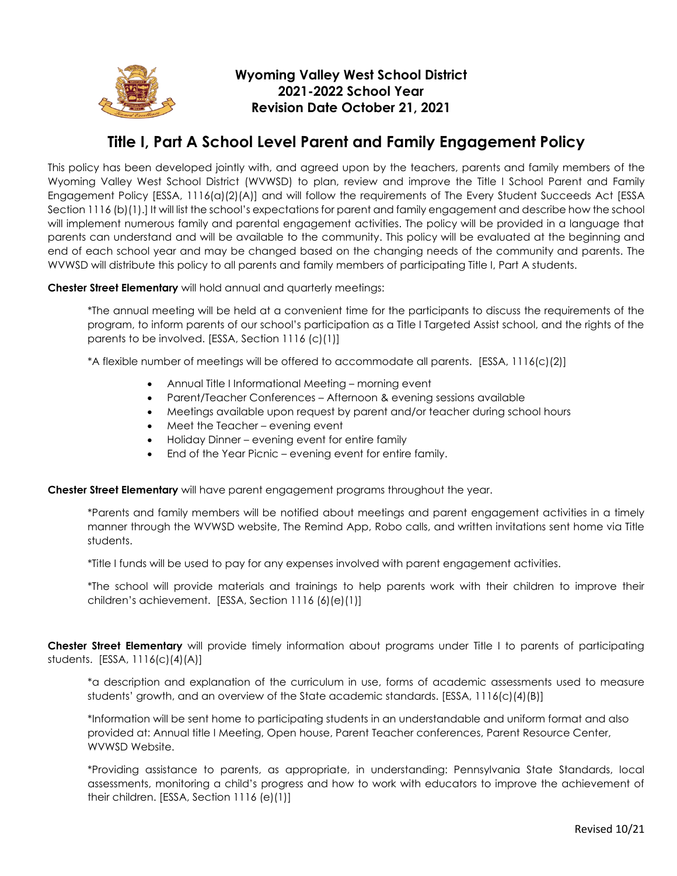

## **Wyoming Valley West School District 2021-2022 School Year Revision Date October 21, 2021**

## **Title I, Part A School Level Parent and Family Engagement Policy**

This policy has been developed jointly with, and agreed upon by the teachers, parents and family members of the Wyoming Valley West School District (WVWSD) to plan, review and improve the Title I School Parent and Family Engagement Policy [ESSA, 1116(a)(2)(A)] and will follow the requirements of The Every Student Succeeds Act [ESSA Section 1116 (b)(1).] It will list the school's expectations for parent and family engagement and describe how the school will implement numerous family and parental engagement activities. The policy will be provided in a language that parents can understand and will be available to the community. This policy will be evaluated at the beginning and end of each school year and may be changed based on the changing needs of the community and parents. The WVWSD will distribute this policy to all parents and family members of participating Title I, Part A students.

**Chester Street Elementary** will hold annual and quarterly meetings:

\*The annual meeting will be held at a convenient time for the participants to discuss the requirements of the program, to inform parents of our school's participation as a Title I Targeted Assist school, and the rights of the parents to be involved. [ESSA, Section 1116 (c)(1)]

\*A flexible number of meetings will be offered to accommodate all parents. [ESSA, 1116(c)(2)]

- Annual Title I Informational Meeting morning event
- Parent/Teacher Conferences Afternoon & evening sessions available
- Meetings available upon request by parent and/or teacher during school hours
- Meet the Teacher evening event
- Holiday Dinner evening event for entire family
- End of the Year Picnic evening event for entire family.

**Chester Street Elementary** will have parent engagement programs throughout the year.

\*Parents and family members will be notified about meetings and parent engagement activities in a timely manner through the WVWSD website, The Remind App, Robo calls, and written invitations sent home via Title students.

\*Title I funds will be used to pay for any expenses involved with parent engagement activities.

\*The school will provide materials and trainings to help parents work with their children to improve their children's achievement. [ESSA, Section 1116 (6)(e)(1)]

**Chester Street Elementary** will provide timely information about programs under Title I to parents of participating students. [ESSA, 1116(c)(4)(A)]

\*a description and explanation of the curriculum in use, forms of academic assessments used to measure students' growth, and an overview of the State academic standards. [ESSA, 1116(c)(4)(B)]

\*Information will be sent home to participating students in an understandable and uniform format and also provided at: Annual title I Meeting, Open house, Parent Teacher conferences, Parent Resource Center, WVWSD Website.

\*Providing assistance to parents, as appropriate, in understanding: Pennsylvania State Standards, local assessments, monitoring a child's progress and how to work with educators to improve the achievement of their children. [ESSA, Section 1116 (e)(1)]